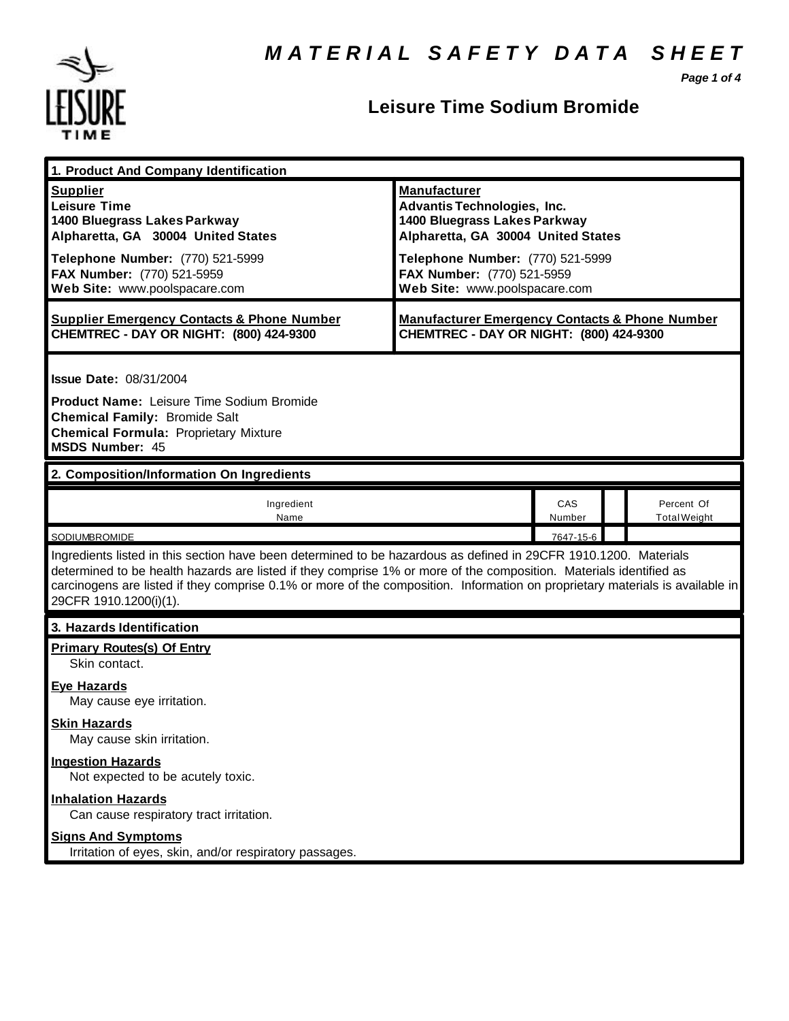

### **Leisure Time Sodium Bromide**

*Page 1 of 4*

| 1. Product And Company Identification                                                                                                                                                                                                                                                                                                                                                             |                                                                                                                                 |               |  |                                   |  |
|---------------------------------------------------------------------------------------------------------------------------------------------------------------------------------------------------------------------------------------------------------------------------------------------------------------------------------------------------------------------------------------------------|---------------------------------------------------------------------------------------------------------------------------------|---------------|--|-----------------------------------|--|
| <b>Supplier</b><br><b>Leisure Time</b><br>1400 Bluegrass Lakes Parkway<br>Alpharetta, GA 30004 United States                                                                                                                                                                                                                                                                                      | <b>Manufacturer</b><br><b>Advantis Technologies, Inc.</b><br>1400 Bluegrass Lakes Parkway<br>Alpharetta, GA 30004 United States |               |  |                                   |  |
| Telephone Number: (770) 521-5999<br>FAX Number: (770) 521-5959<br>Web Site: www.poolspacare.com                                                                                                                                                                                                                                                                                                   | Telephone Number: (770) 521-5999<br>FAX Number: (770) 521-5959<br>Web Site: www.poolspacare.com                                 |               |  |                                   |  |
| <b>Supplier Emergency Contacts &amp; Phone Number</b><br>CHEMTREC - DAY OR NIGHT: (800) 424-9300                                                                                                                                                                                                                                                                                                  | <b>Manufacturer Emergency Contacts &amp; Phone Number</b><br>CHEMTREC - DAY OR NIGHT: (800) 424-9300                            |               |  |                                   |  |
| <b>Issue Date: 08/31/2004</b><br><b>Product Name: Leisure Time Sodium Bromide</b><br><b>Chemical Family: Bromide Salt</b><br><b>Chemical Formula: Proprietary Mixture</b><br><b>MSDS Number: 45</b>                                                                                                                                                                                               |                                                                                                                                 |               |  |                                   |  |
| 2. Composition/Information On Ingredients                                                                                                                                                                                                                                                                                                                                                         |                                                                                                                                 |               |  |                                   |  |
| Ingredient<br>Name                                                                                                                                                                                                                                                                                                                                                                                |                                                                                                                                 | CAS<br>Number |  | Percent Of<br><b>Total Weight</b> |  |
| <b>SODIUMBROMIDE</b>                                                                                                                                                                                                                                                                                                                                                                              |                                                                                                                                 | 7647-15-6     |  |                                   |  |
| Ingredients listed in this section have been determined to be hazardous as defined in 29CFR 1910.1200. Materials<br>determined to be health hazards are listed if they comprise 1% or more of the composition. Materials identified as<br>carcinogens are listed if they comprise 0.1% or more of the composition. Information on proprietary materials is available in<br>29CFR 1910.1200(i)(1). |                                                                                                                                 |               |  |                                   |  |
| 3. Hazards Identification                                                                                                                                                                                                                                                                                                                                                                         |                                                                                                                                 |               |  |                                   |  |
| <b>Primary Routes(s) Of Entry</b><br>Skin contact.<br><b>Eye Hazards</b>                                                                                                                                                                                                                                                                                                                          |                                                                                                                                 |               |  |                                   |  |
| May cause eye irritation.<br><b>Skin Hazards</b><br>May cause skin irritation.                                                                                                                                                                                                                                                                                                                    |                                                                                                                                 |               |  |                                   |  |
| <b>Ingestion Hazards</b><br>Not expected to be acutely toxic.                                                                                                                                                                                                                                                                                                                                     |                                                                                                                                 |               |  |                                   |  |
| <b>Inhalation Hazards</b><br>Can cause respiratory tract irritation.                                                                                                                                                                                                                                                                                                                              |                                                                                                                                 |               |  |                                   |  |
| <b>Signs And Symptoms</b><br>Irritation of eyes, skin, and/or respiratory passages.                                                                                                                                                                                                                                                                                                               |                                                                                                                                 |               |  |                                   |  |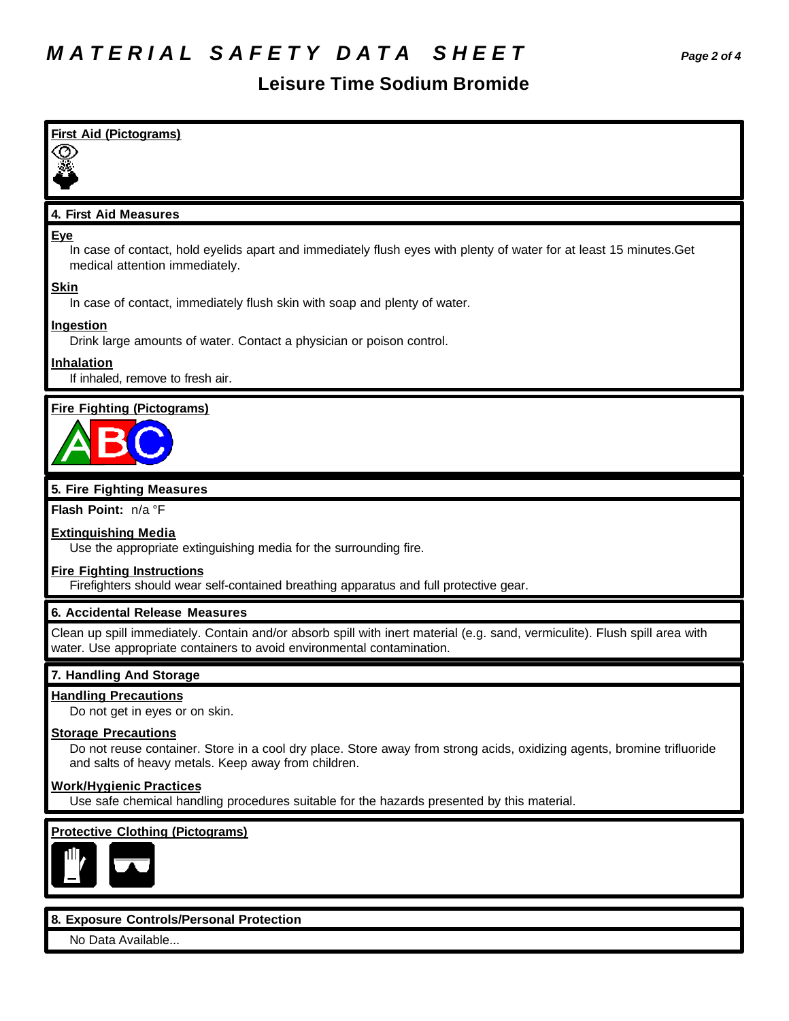### **Leisure Time Sodium Bromide**

| <b>First Aid (Pictograms)</b>                                                                                                                                                                               |
|-------------------------------------------------------------------------------------------------------------------------------------------------------------------------------------------------------------|
| 4. First Aid Measures                                                                                                                                                                                       |
| Eye<br>In case of contact, hold eyelids apart and immediately flush eyes with plenty of water for at least 15 minutes. Get<br>medical attention immediately.                                                |
| <b>Skin</b><br>In case of contact, immediately flush skin with soap and plenty of water.                                                                                                                    |
| Ingestion<br>Drink large amounts of water. Contact a physician or poison control.                                                                                                                           |
| <b>Inhalation</b><br>If inhaled, remove to fresh air.                                                                                                                                                       |
| <b>Fire Fighting (Pictograms)</b>                                                                                                                                                                           |
| 5. Fire Fighting Measures                                                                                                                                                                                   |
| Flash Point: n/a °F                                                                                                                                                                                         |
| <b>Extinguishing Media</b><br>Use the appropriate extinguishing media for the surrounding fire.                                                                                                             |
| <b>Fire Fighting Instructions</b><br>Firefighters should wear self-contained breathing apparatus and full protective gear.                                                                                  |
| 6. Accidental Release Measures                                                                                                                                                                              |
| Clean up spill immediately. Contain and/or absorb spill with inert material (e.g. sand, vermiculite). Flush spill area with<br>water. Use appropriate containers to avoid environmental contamination.      |
| 7. Handling And Storage                                                                                                                                                                                     |
| <b>Handling Precautions</b><br>Do not get in eyes or on skin.                                                                                                                                               |
| <b>Storage Precautions</b><br>Do not reuse container. Store in a cool dry place. Store away from strong acids, oxidizing agents, bromine trifluoride<br>and salts of heavy metals. Keep away from children. |
| <b>Work/Hygienic Practices</b><br>Use safe chemical handling procedures suitable for the hazards presented by this material.                                                                                |
| <b>Protective Clothing (Pictograms)</b>                                                                                                                                                                     |
| 8. Exposure Controls/Personal Protection                                                                                                                                                                    |

No Data Available...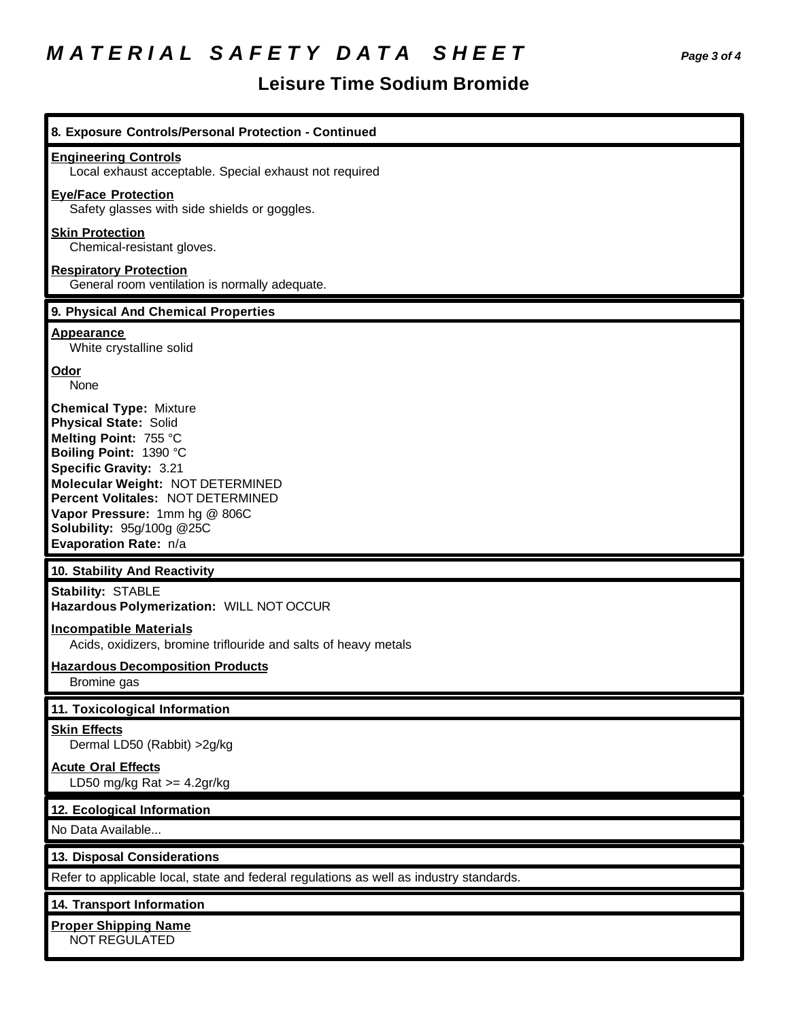# *M A T E R I A L S A F E T Y D A T A S H E E T Page 3 of 4*

## **Leisure Time Sodium Bromide**

| 8. Exposure Controls/Personal Protection - Continued                                                                                                                                                                                                                                                              |
|-------------------------------------------------------------------------------------------------------------------------------------------------------------------------------------------------------------------------------------------------------------------------------------------------------------------|
| <b>Engineering Controls</b><br>Local exhaust acceptable. Special exhaust not required                                                                                                                                                                                                                             |
| <b>Eye/Face Protection</b><br>Safety glasses with side shields or goggles.                                                                                                                                                                                                                                        |
| <b>Skin Protection</b><br>Chemical-resistant gloves.                                                                                                                                                                                                                                                              |
| <b>Respiratory Protection</b><br>General room ventilation is normally adequate.                                                                                                                                                                                                                                   |
| 9. Physical And Chemical Properties                                                                                                                                                                                                                                                                               |
| <b>Appearance</b><br>White crystalline solid                                                                                                                                                                                                                                                                      |
| <u>Odor</u><br>None                                                                                                                                                                                                                                                                                               |
| <b>Chemical Type: Mixture</b><br><b>Physical State: Solid</b><br>Melting Point: 755 °C<br>Boiling Point: 1390 °C<br>Specific Gravity: 3.21<br>Molecular Weight: NOT DETERMINED<br>Percent Volitales: NOT DETERMINED<br>Vapor Pressure: 1mm hg @ 806C<br><b>Solubility: 95g/100g @25C</b><br>Evaporation Rate: n/a |
| 10. Stability And Reactivity                                                                                                                                                                                                                                                                                      |
| <b>Stability: STABLE</b><br>Hazardous Polymerization: WILL NOT OCCUR                                                                                                                                                                                                                                              |
| <b>Incompatible Materials</b><br>Acids, oxidizers, bromine triflouride and salts of heavy metals                                                                                                                                                                                                                  |
| <b>Hazardous Decomposition Products</b><br>Bromine gas                                                                                                                                                                                                                                                            |
| 11. Toxicological Information                                                                                                                                                                                                                                                                                     |
| <b>Skin Effects</b><br>Dermal LD50 (Rabbit) > 2g/kg                                                                                                                                                                                                                                                               |
| <b>Acute Oral Effects</b><br>LD50 mg/kg Rat $>=$ 4.2gr/kg                                                                                                                                                                                                                                                         |
| 12. Ecological Information                                                                                                                                                                                                                                                                                        |
| No Data Available                                                                                                                                                                                                                                                                                                 |
| 13. Disposal Considerations                                                                                                                                                                                                                                                                                       |
| Refer to applicable local, state and federal regulations as well as industry standards.                                                                                                                                                                                                                           |
| 14. Transport Information                                                                                                                                                                                                                                                                                         |
| <b>Proper Shipping Name</b><br>NOT REGULATED                                                                                                                                                                                                                                                                      |